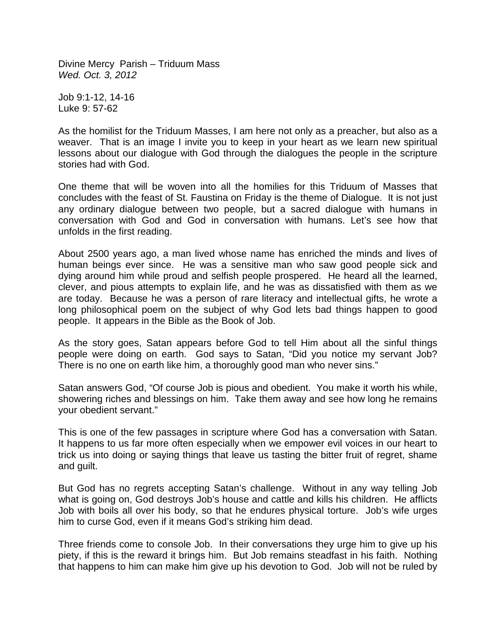Divine Mercy Parish – Triduum Mass *Wed. Oct. 3, 2012*

Job 9:1-12, 14-16 Luke 9: 57-62

As the homilist for the Triduum Masses, I am here not only as a preacher, but also as a weaver. That is an image I invite you to keep in your heart as we learn new spiritual lessons about our dialogue with God through the dialogues the people in the scripture stories had with God.

One theme that will be woven into all the homilies for this Triduum of Masses that concludes with the feast of St. Faustina on Friday is the theme of Dialogue. It is not just any ordinary dialogue between two people, but a sacred dialogue with humans in conversation with God and God in conversation with humans. Let's see how that unfolds in the first reading.

About 2500 years ago, a man lived whose name has enriched the minds and lives of human beings ever since. He was a sensitive man who saw good people sick and dying around him while proud and selfish people prospered. He heard all the learned, clever, and pious attempts to explain life, and he was as dissatisfied with them as we are today. Because he was a person of rare literacy and intellectual gifts, he wrote a long philosophical poem on the subject of why God lets bad things happen to good people. It appears in the Bible as the Book of Job.

As the story goes, Satan appears before God to tell Him about all the sinful things people were doing on earth. God says to Satan, "Did you notice my servant Job? There is no one on earth like him, a thoroughly good man who never sins."

Satan answers God, "Of course Job is pious and obedient. You make it worth his while, showering riches and blessings on him. Take them away and see how long he remains your obedient servant."

This is one of the few passages in scripture where God has a conversation with Satan. It happens to us far more often especially when we empower evil voices in our heart to trick us into doing or saying things that leave us tasting the bitter fruit of regret, shame and guilt.

But God has no regrets accepting Satan's challenge. Without in any way telling Job what is going on, God destroys Job's house and cattle and kills his children. He afflicts Job with boils all over his body, so that he endures physical torture. Job's wife urges him to curse God, even if it means God's striking him dead.

Three friends come to console Job. In their conversations they urge him to give up his piety, if this is the reward it brings him. But Job remains steadfast in his faith. Nothing that happens to him can make him give up his devotion to God. Job will not be ruled by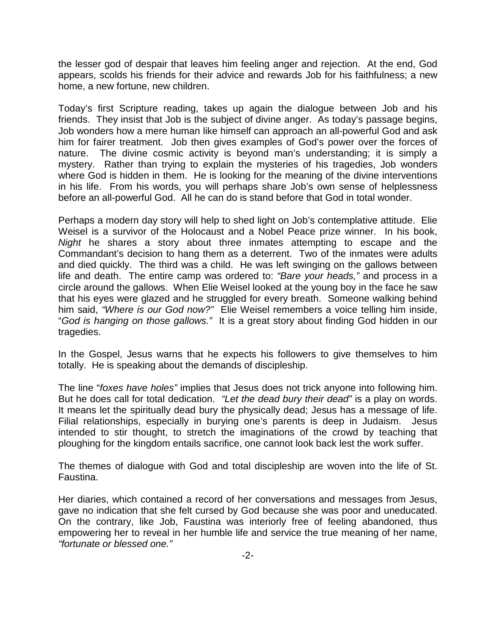the lesser god of despair that leaves him feeling anger and rejection. At the end, God appears, scolds his friends for their advice and rewards Job for his faithfulness; a new home, a new fortune, new children.

Today's first Scripture reading, takes up again the dialogue between Job and his friends. They insist that Job is the subject of divine anger. As today's passage begins, Job wonders how a mere human like himself can approach an all-powerful God and ask him for fairer treatment. Job then gives examples of God's power over the forces of nature. The divine cosmic activity is beyond man's understanding; it is simply a mystery. Rather than trying to explain the mysteries of his tragedies, Job wonders where God is hidden in them. He is looking for the meaning of the divine interventions in his life. From his words, you will perhaps share Job's own sense of helplessness before an all-powerful God. All he can do is stand before that God in total wonder.

Perhaps a modern day story will help to shed light on Job's contemplative attitude. Elie Weisel is a survivor of the Holocaust and a Nobel Peace prize winner. In his book, *Night* he shares a story about three inmates attempting to escape and the Commandant's decision to hang them as a deterrent. Two of the inmates were adults and died quickly. The third was a child. He was left swinging on the gallows between life and death. The entire camp was ordered to: *"Bare your heads,"* and process in a circle around the gallows. When Elie Weisel looked at the young boy in the face he saw that his eyes were glazed and he struggled for every breath. Someone walking behind him said, *"Where is our God now?"* Elie Weisel remembers a voice telling him inside, "*God is hanging on those gallows."* It is a great story about finding God hidden in our tragedies.

In the Gospel, Jesus warns that he expects his followers to give themselves to him totally. He is speaking about the demands of discipleship.

The line "*foxes have holes"* implies that Jesus does not trick anyone into following him. But he does call for total dedication. *"Let the dead bury their dead"* is a play on words. It means let the spiritually dead bury the physically dead; Jesus has a message of life. Filial relationships, especially in burying one's parents is deep in Judaism. Jesus intended to stir thought, to stretch the imaginations of the crowd by teaching that ploughing for the kingdom entails sacrifice, one cannot look back lest the work suffer.

The themes of dialogue with God and total discipleship are woven into the life of St. Faustina.

Her diaries, which contained a record of her conversations and messages from Jesus, gave no indication that she felt cursed by God because she was poor and uneducated. On the contrary, like Job, Faustina was interiorly free of feeling abandoned, thus empowering her to reveal in her humble life and service the true meaning of her name, *"fortunate or blessed one."*